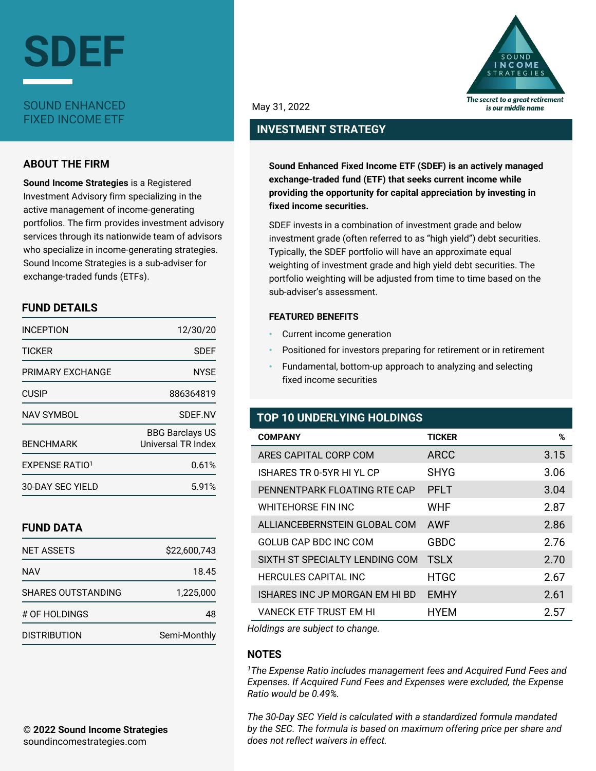

### **ABOUT THE FIRM**

**Sound Income Strategies** is a Registered Investment Advisory firm specializing in the active management of income-generating portfolios. The firm provides investment advisory services through its nationwide team of advisors who specialize in income-generating strategies. Sound Income Strategies is a sub-adviser for exchange-traded funds (ETFs).

## **FUND DETAILS**

| <b>INCEPTION</b>      | 12/30/20                                     |
|-----------------------|----------------------------------------------|
| <b>TICKFR</b>         | SDFF                                         |
| PRIMARY EXCHANGE      | <b>NYSE</b>                                  |
| <b>CUSIP</b>          | 886364819                                    |
| NAV SYMBOL            | SDEF.NV                                      |
| <b>BENCHMARK</b>      | <b>BBG Barclays US</b><br>Universal TR Index |
| <b>EXPENSE RATIO1</b> | 0.61%                                        |
| 30-DAY SEC YIELD      | 5.91%                                        |

# **FUND DATA**

| NFT ASSETS                | \$22,600,743 |
|---------------------------|--------------|
| <b>NAV</b>                | 18.45        |
| <b>SHARES OUTSTANDING</b> | 1,225,000    |
| # OF HOLDINGS             | 48           |
| <b>DISTRIBUTION</b>       | Semi-Monthly |



May 31, 2022

# **INVESTMENT STRATEGY**

**Sound Enhanced Fixed Income ETF (SDEF) is an actively managed exchange-traded fund (ETF) that seeks current income while providing the opportunity for capital appreciation by investing in fixed income securities.**

SDEF invests in a combination of investment grade and below investment grade (often referred to as "high yield") debt securities. Typically, the SDEF portfolio will have an approximate equal weighting of investment grade and high yield debt securities. The portfolio weighting will be adjusted from time to time based on the sub-adviser's assessment.

#### **FEATURED BENEFITS**

- Current income generation
- Positioned for investors preparing for retirement or in retirement
- Fundamental, bottom-up approach to analyzing and selecting fixed income securities

## **TOP 10 UNDERLYING HOLDINGS**

| <b>COMPANY</b>                 | <b>TICKER</b> | %    |
|--------------------------------|---------------|------|
| ARES CAPITAL CORP COM          | <b>ARCC</b>   | 3.15 |
| ISHARES TR 0-5YR HI YL CP      | <b>SHYG</b>   | 3.06 |
| PENNENTPARK FLOATING RTE CAP   | PFLT          | 3.04 |
| WHITEHORSE FIN INC             | <b>WHF</b>    | 2.87 |
| ALLIANCEBERNSTEIN GLOBAL COM   | AWF           | 2.86 |
| GOLUB CAP BDC INC COM          | <b>GBDC</b>   | 2.76 |
| SIXTH ST SPECIALTY LENDING COM | <b>TSLX</b>   | 2.70 |
| <b>HERCULES CAPITAL INC</b>    | <b>HTGC</b>   | 2.67 |
| ISHARES INC JP MORGAN EM HI BD | <b>EMHY</b>   | 2.61 |
| VANECK ETF TRUST EM HI         | <b>HYEM</b>   | 2.57 |

*Holdings are subject to change.*

# **NOTES**

*<sup>1</sup>The Expense Ratio includes management fees and Acquired Fund Fees and Expenses. If Acquired Fund Fees and Expenses were excluded, the Expense Ratio would be 0.49%.*

*The 30-Day SEC Yield is calculated with a standardized formula mandated by the SEC. The formula is based on maximum offering price per share and does not reflect waivers in effect.*